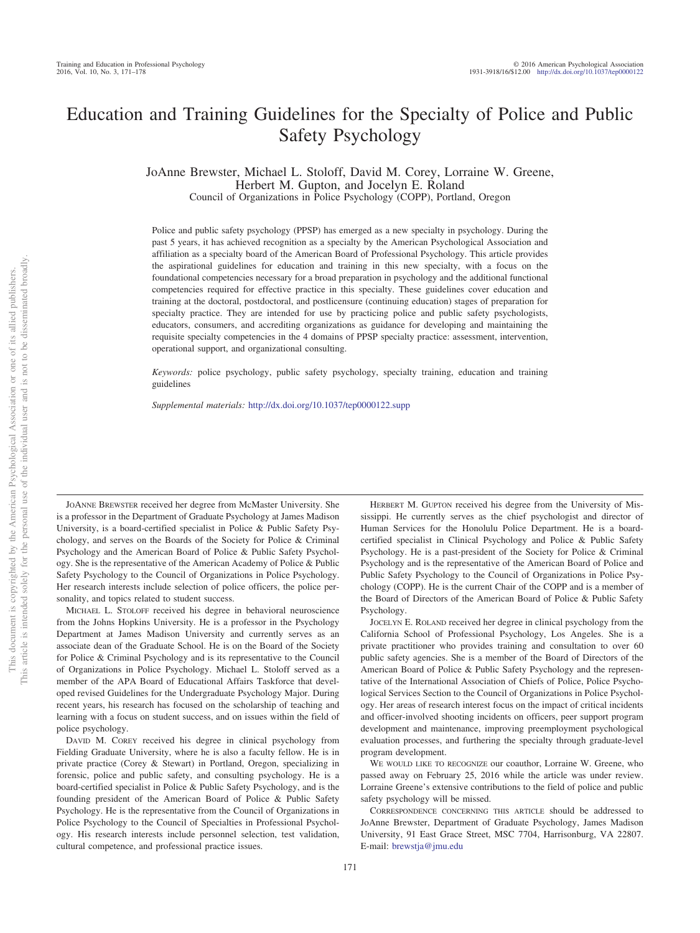# Education and Training Guidelines for the Specialty of Police and Public Safety Psychology

JoAnne Brewster, Michael L. Stoloff, David M. Corey, Lorraine W. Greene, Herbert M. Gupton, and Jocelyn E. Roland Council of Organizations in Police Psychology (COPP), Portland, Oregon

Police and public safety psychology (PPSP) has emerged as a new specialty in psychology. During the past 5 years, it has achieved recognition as a specialty by the American Psychological Association and affiliation as a specialty board of the American Board of Professional Psychology. This article provides the aspirational guidelines for education and training in this new specialty, with a focus on the foundational competencies necessary for a broad preparation in psychology and the additional functional competencies required for effective practice in this specialty. These guidelines cover education and training at the doctoral, postdoctoral, and postlicensure (continuing education) stages of preparation for specialty practice. They are intended for use by practicing police and public safety psychologists, educators, consumers, and accrediting organizations as guidance for developing and maintaining the requisite specialty competencies in the 4 domains of PPSP specialty practice: assessment, intervention, operational support, and organizational consulting.

*Keywords:* police psychology, public safety psychology, specialty training, education and training guidelines

*Supplemental materials:* http://dx.doi.org[/10.1037/tep0000122.supp](http://dx.doi.org/10.1037/tep0000122.supp)

JOANNE BREWSTER received her degree from McMaster University. She is a professor in the Department of Graduate Psychology at James Madison University, is a board-certified specialist in Police & Public Safety Psychology, and serves on the Boards of the Society for Police & Criminal Psychology and the American Board of Police & Public Safety Psychology. She is the representative of the American Academy of Police & Public Safety Psychology to the Council of Organizations in Police Psychology. Her research interests include selection of police officers, the police personality, and topics related to student success.

MICHAEL L. STOLOFF received his degree in behavioral neuroscience from the Johns Hopkins University. He is a professor in the Psychology Department at James Madison University and currently serves as an associate dean of the Graduate School. He is on the Board of the Society for Police & Criminal Psychology and is its representative to the Council of Organizations in Police Psychology. Michael L. Stoloff served as a member of the APA Board of Educational Affairs Taskforce that developed revised Guidelines for the Undergraduate Psychology Major. During recent years, his research has focused on the scholarship of teaching and learning with a focus on student success, and on issues within the field of police psychology.

DAVID M. COREY received his degree in clinical psychology from Fielding Graduate University, where he is also a faculty fellow. He is in private practice (Corey & Stewart) in Portland, Oregon, specializing in forensic, police and public safety, and consulting psychology. He is a board-certified specialist in Police & Public Safety Psychology, and is the founding president of the American Board of Police & Public Safety Psychology. He is the representative from the Council of Organizations in Police Psychology to the Council of Specialties in Professional Psychology. His research interests include personnel selection, test validation, cultural competence, and professional practice issues.

HERBERT M. GUPTON received his degree from the University of Mississippi. He currently serves as the chief psychologist and director of Human Services for the Honolulu Police Department. He is a boardcertified specialist in Clinical Psychology and Police & Public Safety Psychology. He is a past-president of the Society for Police & Criminal Psychology and is the representative of the American Board of Police and Public Safety Psychology to the Council of Organizations in Police Psychology (COPP). He is the current Chair of the COPP and is a member of the Board of Directors of the American Board of Police & Public Safety Psychology.

JOCELYN E. ROLAND received her degree in clinical psychology from the California School of Professional Psychology, Los Angeles. She is a private practitioner who provides training and consultation to over 60 public safety agencies. She is a member of the Board of Directors of the American Board of Police & Public Safety Psychology and the representative of the International Association of Chiefs of Police, Police Psychological Services Section to the Council of Organizations in Police Psychology. Her areas of research interest focus on the impact of critical incidents and officer-involved shooting incidents on officers, peer support program development and maintenance, improving preemployment psychological evaluation processes, and furthering the specialty through graduate-level program development.

WE WOULD LIKE TO RECOGNIZE our coauthor, Lorraine W. Greene, who passed away on February 25, 2016 while the article was under review. Lorraine Greene's extensive contributions to the field of police and public safety psychology will be missed.

CORRESPONDENCE CONCERNING THIS ARTICLE should be addressed to JoAnne Brewster, Department of Graduate Psychology, James Madison University, 91 East Grace Street, MSC 7704, Harrisonburg, VA 22807. E-mail: [brewstja@jmu.edu](mailto:brewstja@jmu.edu)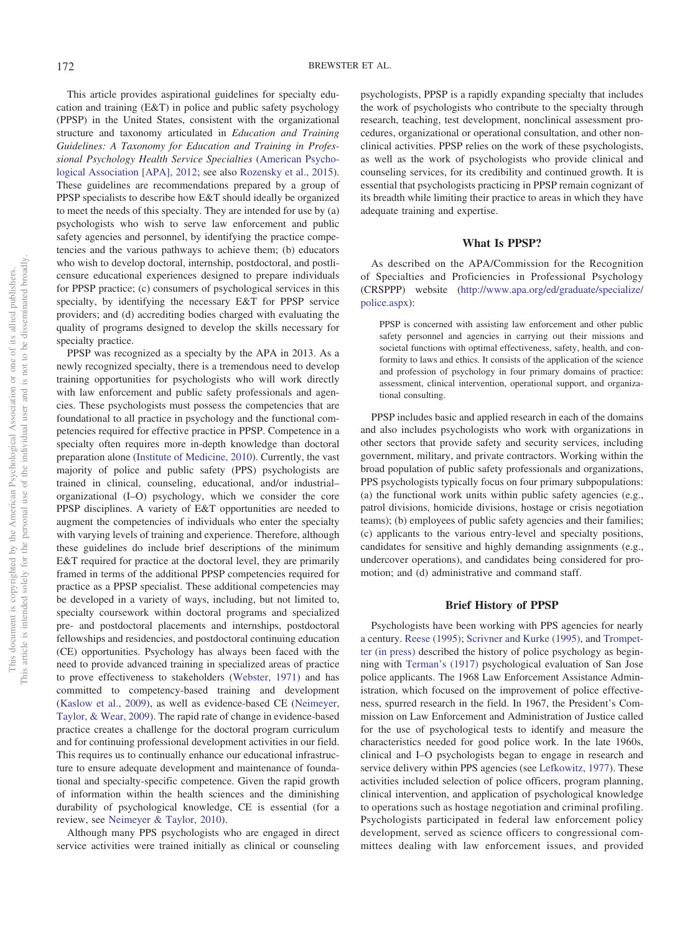This article provides aspirational guidelines for specialty education and training (E&T) in police and public safety psychology (PPSP) in the United States, consistent with the organizational structure and taxonomy articulated in *Education and Training Guidelines: A Taxonomy for Education and Training in Professional Psychology Health Service Specialties* [\(American Psycho](#page-7-0)[logical Association \[APA\], 2012;](#page-7-0) see also [Rozensky et al., 2015\)](#page-7-1). These guidelines are recommendations prepared by a group of PPSP specialists to describe how E&T should ideally be organized to meet the needs of this specialty. They are intended for use by (a) psychologists who wish to serve law enforcement and public safety agencies and personnel, by identifying the practice competencies and the various pathways to achieve them; (b) educators who wish to develop doctoral, internship, postdoctoral, and postlicensure educational experiences designed to prepare individuals for PPSP practice; (c) consumers of psychological services in this specialty, by identifying the necessary E&T for PPSP service providers; and (d) accrediting bodies charged with evaluating the quality of programs designed to develop the skills necessary for specialty practice.

PPSP was recognized as a specialty by the APA in 2013. As a newly recognized specialty, there is a tremendous need to develop training opportunities for psychologists who will work directly with law enforcement and public safety professionals and agencies. These psychologists must possess the competencies that are foundational to all practice in psychology and the functional competencies required for effective practice in PPSP. Competence in a specialty often requires more in-depth knowledge than doctoral preparation alone [\(Institute of Medicine, 2010\)](#page-7-2). Currently, the vast majority of police and public safety (PPS) psychologists are trained in clinical, counseling, educational, and/or industrial– organizational (I–O) psychology, which we consider the core PPSP disciplines. A variety of E&T opportunities are needed to augment the competencies of individuals who enter the specialty with varying levels of training and experience. Therefore, although these guidelines do include brief descriptions of the minimum E&T required for practice at the doctoral level, they are primarily framed in terms of the additional PPSP competencies required for practice as a PPSP specialist. These additional competencies may be developed in a variety of ways, including, but not limited to, specialty coursework within doctoral programs and specialized pre- and postdoctoral placements and internships, postdoctoral fellowships and residencies, and postdoctoral continuing education (CE) opportunities. Psychology has always been faced with the need to provide advanced training in specialized areas of practice to prove effectiveness to stakeholders [\(Webster, 1971\)](#page-7-3) and has committed to competency-based training and development [\(Kaslow et al., 2009\)](#page-7-4), as well as evidence-based CE [\(Neimeyer,](#page-7-5) [Taylor, & Wear, 2009\)](#page-7-5). The rapid rate of change in evidence-based practice creates a challenge for the doctoral program curriculum and for continuing professional development activities in our field. This requires us to continually enhance our educational infrastructure to ensure adequate development and maintenance of foundational and specialty-specific competence. Given the rapid growth of information within the health sciences and the diminishing durability of psychological knowledge, CE is essential (for a review, see [Neimeyer & Taylor, 2010\)](#page-7-6).

Although many PPS psychologists who are engaged in direct service activities were trained initially as clinical or counseling

psychologists, PPSP is a rapidly expanding specialty that includes the work of psychologists who contribute to the specialty through research, teaching, test development, nonclinical assessment procedures, organizational or operational consultation, and other nonclinical activities. PPSP relies on the work of these psychologists, as well as the work of psychologists who provide clinical and counseling services, for its credibility and continued growth. It is essential that psychologists practicing in PPSP remain cognizant of its breadth while limiting their practice to areas in which they have adequate training and expertise.

#### **What Is PPSP?**

As described on the APA/Commission for the Recognition of Specialties and Proficiencies in Professional Psychology (CRSPPP) website [\(http://www.apa.org/ed/graduate/specialize/](http://www.apa.org/ed/graduate/specialize/police.aspx) [police.aspx\)](http://www.apa.org/ed/graduate/specialize/police.aspx):

PPSP is concerned with assisting law enforcement and other public safety personnel and agencies in carrying out their missions and societal functions with optimal effectiveness, safety, health, and conformity to laws and ethics. It consists of the application of the science and profession of psychology in four primary domains of practice: assessment, clinical intervention, operational support, and organizational consulting.

PPSP includes basic and applied research in each of the domains and also includes psychologists who work with organizations in other sectors that provide safety and security services, including government, military, and private contractors. Working within the broad population of public safety professionals and organizations, PPS psychologists typically focus on four primary subpopulations: (a) the functional work units within public safety agencies (e.g., patrol divisions, homicide divisions, hostage or crisis negotiation teams); (b) employees of public safety agencies and their families; (c) applicants to the various entry-level and specialty positions, candidates for sensitive and highly demanding assignments (e.g., undercover operations), and candidates being considered for promotion; and (d) administrative and command staff.

#### **Brief History of PPSP**

Psychologists have been working with PPS agencies for nearly a century. [Reese \(1995\);](#page-7-7) [Scrivner and Kurke \(1995\),](#page-7-8) and [Trompet](#page-7-9)[ter \(in press\)](#page-7-9) described the history of police psychology as beginning with [Terman's \(1917\)](#page-7-10) psychological evaluation of San Jose police applicants. The 1968 Law Enforcement Assistance Administration, which focused on the improvement of police effectiveness, spurred research in the field. In 1967, the President's Commission on Law Enforcement and Administration of Justice called for the use of psychological tests to identify and measure the characteristics needed for good police work. In the late 1960s, clinical and I–O psychologists began to engage in research and service delivery within PPS agencies (see [Lefkowitz, 1977\)](#page-7-11). These activities included selection of police officers, program planning, clinical intervention, and application of psychological knowledge to operations such as hostage negotiation and criminal profiling. Psychologists participated in federal law enforcement policy development, served as science officers to congressional committees dealing with law enforcement issues, and provided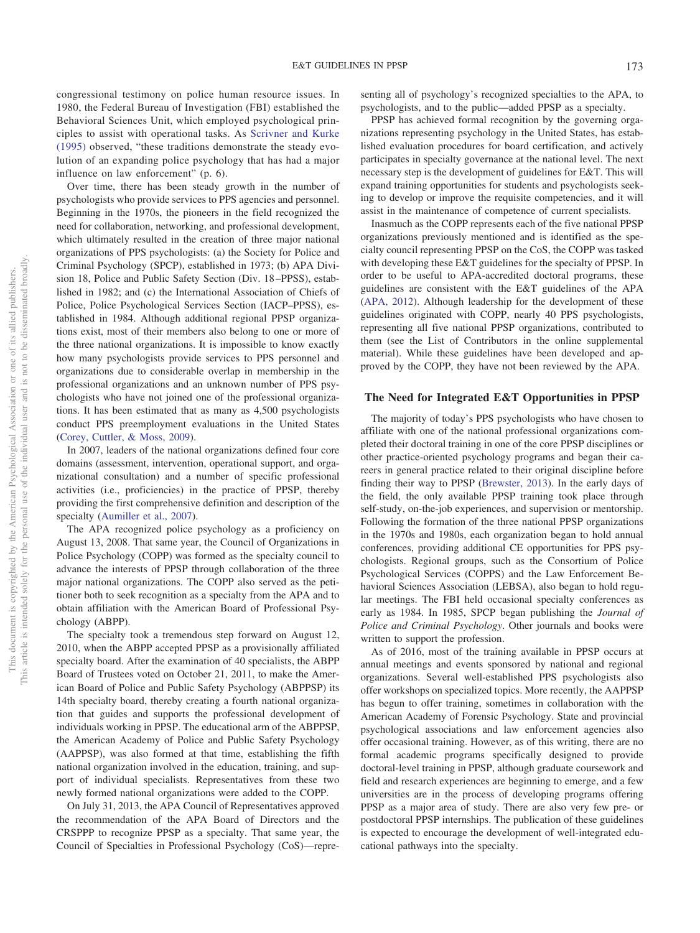congressional testimony on police human resource issues. In 1980, the Federal Bureau of Investigation (FBI) established the Behavioral Sciences Unit, which employed psychological principles to assist with operational tasks. As [Scrivner and Kurke](#page-7-8) [\(1995\)](#page-7-8) observed, "these traditions demonstrate the steady evolution of an expanding police psychology that has had a major influence on law enforcement" (p. 6).

Over time, there has been steady growth in the number of psychologists who provide services to PPS agencies and personnel. Beginning in the 1970s, the pioneers in the field recognized the need for collaboration, networking, and professional development, which ultimately resulted in the creation of three major national organizations of PPS psychologists: (a) the Society for Police and Criminal Psychology (SPCP), established in 1973; (b) APA Division 18, Police and Public Safety Section (Div. 18 –PPSS), established in 1982; and (c) the International Association of Chiefs of Police, Police Psychological Services Section (IACP–PPSS), established in 1984. Although additional regional PPSP organizations exist, most of their members also belong to one or more of the three national organizations. It is impossible to know exactly how many psychologists provide services to PPS personnel and organizations due to considerable overlap in membership in the professional organizations and an unknown number of PPS psychologists who have not joined one of the professional organizations. It has been estimated that as many as 4,500 psychologists conduct PPS preemployment evaluations in the United States [\(Corey, Cuttler, & Moss, 2009\)](#page-7-12).

In 2007, leaders of the national organizations defined four core domains (assessment, intervention, operational support, and organizational consultation) and a number of specific professional activities (i.e., proficiencies) in the practice of PPSP, thereby providing the first comprehensive definition and description of the specialty [\(Aumiller et al., 2007\)](#page-7-13).

The APA recognized police psychology as a proficiency on August 13, 2008. That same year, the Council of Organizations in Police Psychology (COPP) was formed as the specialty council to advance the interests of PPSP through collaboration of the three major national organizations. The COPP also served as the petitioner both to seek recognition as a specialty from the APA and to obtain affiliation with the American Board of Professional Psychology (ABPP).

The specialty took a tremendous step forward on August 12, 2010, when the ABPP accepted PPSP as a provisionally affiliated specialty board. After the examination of 40 specialists, the ABPP Board of Trustees voted on October 21, 2011, to make the American Board of Police and Public Safety Psychology (ABPPSP) its 14th specialty board, thereby creating a fourth national organization that guides and supports the professional development of individuals working in PPSP. The educational arm of the ABPPSP, the American Academy of Police and Public Safety Psychology (AAPPSP), was also formed at that time, establishing the fifth national organization involved in the education, training, and support of individual specialists. Representatives from these two newly formed national organizations were added to the COPP.

On July 31, 2013, the APA Council of Representatives approved the recommendation of the APA Board of Directors and the CRSPPP to recognize PPSP as a specialty. That same year, the Council of Specialties in Professional Psychology (CoS)—representing all of psychology's recognized specialties to the APA, to psychologists, and to the public—added PPSP as a specialty.

PPSP has achieved formal recognition by the governing organizations representing psychology in the United States, has established evaluation procedures for board certification, and actively participates in specialty governance at the national level. The next necessary step is the development of guidelines for E&T. This will expand training opportunities for students and psychologists seeking to develop or improve the requisite competencies, and it will assist in the maintenance of competence of current specialists.

Inasmuch as the COPP represents each of the five national PPSP organizations previously mentioned and is identified as the specialty council representing PPSP on the CoS, the COPP was tasked with developing these E&T guidelines for the specialty of PPSP. In order to be useful to APA-accredited doctoral programs, these guidelines are consistent with the E&T guidelines of the APA [\(APA, 2012\)](#page-7-0). Although leadership for the development of these guidelines originated with COPP, nearly 40 PPS psychologists, representing all five national PPSP organizations, contributed to them (see the List of Contributors in the online supplemental material). While these guidelines have been developed and approved by the COPP, they have not been reviewed by the APA.

#### **The Need for Integrated E&T Opportunities in PPSP**

The majority of today's PPS psychologists who have chosen to affiliate with one of the national professional organizations completed their doctoral training in one of the core PPSP disciplines or other practice-oriented psychology programs and began their careers in general practice related to their original discipline before finding their way to PPSP [\(Brewster, 2013\)](#page-7-14). In the early days of the field, the only available PPSP training took place through self-study, on-the-job experiences, and supervision or mentorship. Following the formation of the three national PPSP organizations in the 1970s and 1980s, each organization began to hold annual conferences, providing additional CE opportunities for PPS psychologists. Regional groups, such as the Consortium of Police Psychological Services (COPPS) and the Law Enforcement Behavioral Sciences Association (LEBSA), also began to hold regular meetings. The FBI held occasional specialty conferences as early as 1984. In 1985, SPCP began publishing the *Journal of Police and Criminal Psychology*. Other journals and books were written to support the profession.

As of 2016, most of the training available in PPSP occurs at annual meetings and events sponsored by national and regional organizations. Several well-established PPS psychologists also offer workshops on specialized topics. More recently, the AAPPSP has begun to offer training, sometimes in collaboration with the American Academy of Forensic Psychology. State and provincial psychological associations and law enforcement agencies also offer occasional training. However, as of this writing, there are no formal academic programs specifically designed to provide doctoral-level training in PPSP, although graduate coursework and field and research experiences are beginning to emerge, and a few universities are in the process of developing programs offering PPSP as a major area of study. There are also very few pre- or postdoctoral PPSP internships. The publication of these guidelines is expected to encourage the development of well-integrated educational pathways into the specialty.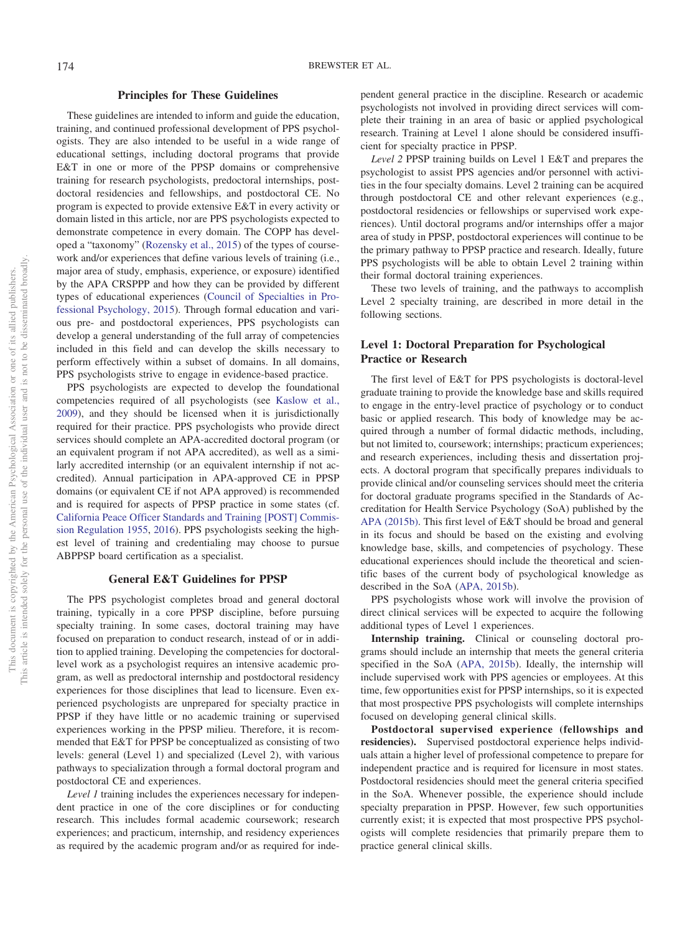## **Principles for These Guidelines**

These guidelines are intended to inform and guide the education, training, and continued professional development of PPS psychologists. They are also intended to be useful in a wide range of educational settings, including doctoral programs that provide E&T in one or more of the PPSP domains or comprehensive training for research psychologists, predoctoral internships, postdoctoral residencies and fellowships, and postdoctoral CE. No program is expected to provide extensive E&T in every activity or domain listed in this article, nor are PPS psychologists expected to demonstrate competence in every domain. The COPP has developed a "taxonomy" [\(Rozensky et al., 2015\)](#page-7-1) of the types of coursework and/or experiences that define various levels of training (i.e., major area of study, emphasis, experience, or exposure) identified by the APA CRSPPP and how they can be provided by different types of educational experiences [\(Council of Specialties in Pro](#page-7-15)[fessional Psychology, 2015\)](#page-7-15). Through formal education and various pre- and postdoctoral experiences, PPS psychologists can develop a general understanding of the full array of competencies included in this field and can develop the skills necessary to perform effectively within a subset of domains. In all domains, PPS psychologists strive to engage in evidence-based practice.

PPS psychologists are expected to develop the foundational competencies required of all psychologists (see [Kaslow et al.,](#page-7-4) [2009\)](#page-7-4), and they should be licensed when it is jurisdictionally required for their practice. PPS psychologists who provide direct services should complete an APA-accredited doctoral program (or an equivalent program if not APA accredited), as well as a similarly accredited internship (or an equivalent internship if not accredited). Annual participation in APA-approved CE in PPSP domains (or equivalent CE if not APA approved) is recommended and is required for aspects of PPSP practice in some states (cf. [California Peace Officer Standards and Training \[POST\] Commis](#page-7-16)[sion Regulation 1955,](#page-7-16) [2016\)](#page-7-16). PPS psychologists seeking the highest level of training and credentialing may choose to pursue ABPPSP board certification as a specialist.

#### **General E&T Guidelines for PPSP**

The PPS psychologist completes broad and general doctoral training, typically in a core PPSP discipline, before pursuing specialty training. In some cases, doctoral training may have focused on preparation to conduct research, instead of or in addition to applied training. Developing the competencies for doctorallevel work as a psychologist requires an intensive academic program, as well as predoctoral internship and postdoctoral residency experiences for those disciplines that lead to licensure. Even experienced psychologists are unprepared for specialty practice in PPSP if they have little or no academic training or supervised experiences working in the PPSP milieu. Therefore, it is recommended that E&T for PPSP be conceptualized as consisting of two levels: general (Level 1) and specialized (Level 2), with various pathways to specialization through a formal doctoral program and postdoctoral CE and experiences.

*Level 1* training includes the experiences necessary for independent practice in one of the core disciplines or for conducting research. This includes formal academic coursework; research experiences; and practicum, internship, and residency experiences as required by the academic program and/or as required for independent general practice in the discipline. Research or academic psychologists not involved in providing direct services will complete their training in an area of basic or applied psychological research. Training at Level 1 alone should be considered insufficient for specialty practice in PPSP.

*Level 2* PPSP training builds on Level 1 E&T and prepares the psychologist to assist PPS agencies and/or personnel with activities in the four specialty domains. Level 2 training can be acquired through postdoctoral CE and other relevant experiences (e.g., postdoctoral residencies or fellowships or supervised work experiences). Until doctoral programs and/or internships offer a major area of study in PPSP, postdoctoral experiences will continue to be the primary pathway to PPSP practice and research. Ideally, future PPS psychologists will be able to obtain Level 2 training within their formal doctoral training experiences.

These two levels of training, and the pathways to accomplish Level 2 specialty training, are described in more detail in the following sections.

# **Level 1: Doctoral Preparation for Psychological Practice or Research**

The first level of E&T for PPS psychologists is doctoral-level graduate training to provide the knowledge base and skills required to engage in the entry-level practice of psychology or to conduct basic or applied research. This body of knowledge may be acquired through a number of formal didactic methods, including, but not limited to, coursework; internships; practicum experiences; and research experiences, including thesis and dissertation projects. A doctoral program that specifically prepares individuals to provide clinical and/or counseling services should meet the criteria for doctoral graduate programs specified in the Standards of Accreditation for Health Service Psychology (SoA) published by the [APA \(2015b\).](#page-7-17) This first level of E&T should be broad and general in its focus and should be based on the existing and evolving knowledge base, skills, and competencies of psychology. These educational experiences should include the theoretical and scientific bases of the current body of psychological knowledge as described in the SoA [\(APA, 2015b\)](#page-7-17).

PPS psychologists whose work will involve the provision of direct clinical services will be expected to acquire the following additional types of Level 1 experiences.

**Internship training.** Clinical or counseling doctoral programs should include an internship that meets the general criteria specified in the SoA [\(APA, 2015b\)](#page-7-17). Ideally, the internship will include supervised work with PPS agencies or employees. At this time, few opportunities exist for PPSP internships, so it is expected that most prospective PPS psychologists will complete internships focused on developing general clinical skills.

**Postdoctoral supervised experience (fellowships and residencies).** Supervised postdoctoral experience helps individuals attain a higher level of professional competence to prepare for independent practice and is required for licensure in most states. Postdoctoral residencies should meet the general criteria specified in the SoA. Whenever possible, the experience should include specialty preparation in PPSP. However, few such opportunities currently exist; it is expected that most prospective PPS psychologists will complete residencies that primarily prepare them to practice general clinical skills.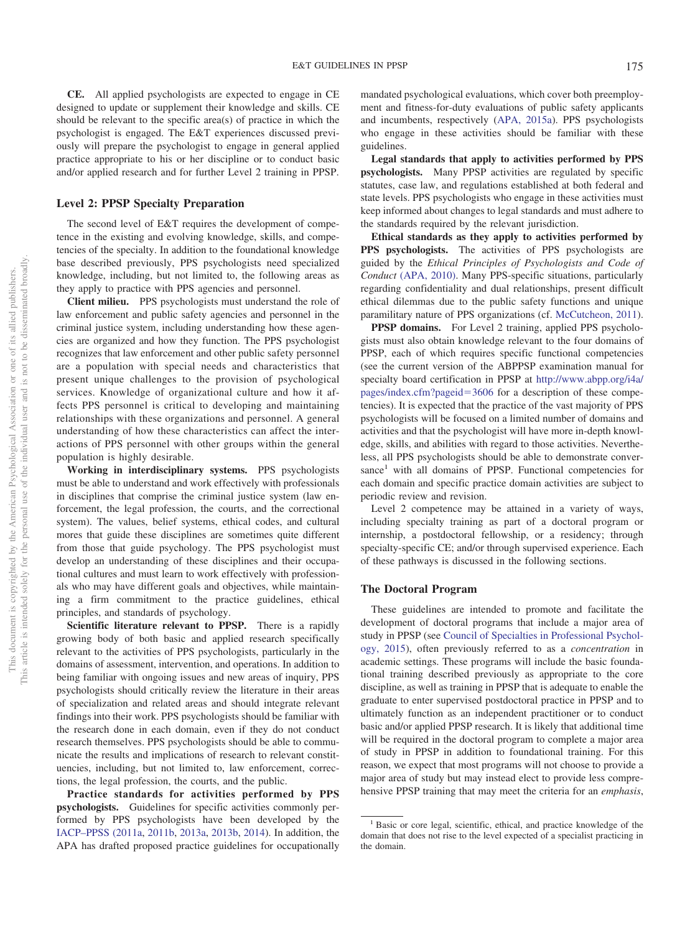**CE.** All applied psychologists are expected to engage in CE designed to update or supplement their knowledge and skills. CE should be relevant to the specific area(s) of practice in which the psychologist is engaged. The E&T experiences discussed previously will prepare the psychologist to engage in general applied practice appropriate to his or her discipline or to conduct basic and/or applied research and for further Level 2 training in PPSP.

#### **Level 2: PPSP Specialty Preparation**

The second level of E&T requires the development of competence in the existing and evolving knowledge, skills, and competencies of the specialty. In addition to the foundational knowledge base described previously, PPS psychologists need specialized knowledge, including, but not limited to, the following areas as they apply to practice with PPS agencies and personnel.

**Client milieu.** PPS psychologists must understand the role of law enforcement and public safety agencies and personnel in the criminal justice system, including understanding how these agencies are organized and how they function. The PPS psychologist recognizes that law enforcement and other public safety personnel are a population with special needs and characteristics that present unique challenges to the provision of psychological services. Knowledge of organizational culture and how it affects PPS personnel is critical to developing and maintaining relationships with these organizations and personnel. A general understanding of how these characteristics can affect the interactions of PPS personnel with other groups within the general population is highly desirable.

**Working in interdisciplinary systems.** PPS psychologists must be able to understand and work effectively with professionals in disciplines that comprise the criminal justice system (law enforcement, the legal profession, the courts, and the correctional system). The values, belief systems, ethical codes, and cultural mores that guide these disciplines are sometimes quite different from those that guide psychology. The PPS psychologist must develop an understanding of these disciplines and their occupational cultures and must learn to work effectively with professionals who may have different goals and objectives, while maintaining a firm commitment to the practice guidelines, ethical principles, and standards of psychology.

**Scientific literature relevant to PPSP.** There is a rapidly growing body of both basic and applied research specifically relevant to the activities of PPS psychologists, particularly in the domains of assessment, intervention, and operations. In addition to being familiar with ongoing issues and new areas of inquiry, PPS psychologists should critically review the literature in their areas of specialization and related areas and should integrate relevant findings into their work. PPS psychologists should be familiar with the research done in each domain, even if they do not conduct research themselves. PPS psychologists should be able to communicate the results and implications of research to relevant constituencies, including, but not limited to, law enforcement, corrections, the legal profession, the courts, and the public.

**Practice standards for activities performed by PPS psychologists.** Guidelines for specific activities commonly performed by PPS psychologists have been developed by the [IACP–PPSS \(2011a,](#page-7-18) [2011b,](#page-7-19) [2013a,](#page-7-20) [2013b,](#page-7-21) [2014\)](#page-7-22). In addition, the APA has drafted proposed practice guidelines for occupationally mandated psychological evaluations, which cover both preemployment and fitness-for-duty evaluations of public safety applicants and incumbents, respectively [\(APA, 2015a\)](#page-7-23). PPS psychologists who engage in these activities should be familiar with these guidelines.

**Legal standards that apply to activities performed by PPS psychologists.** Many PPSP activities are regulated by specific statutes, case law, and regulations established at both federal and state levels. PPS psychologists who engage in these activities must keep informed about changes to legal standards and must adhere to the standards required by the relevant jurisdiction.

**Ethical standards as they apply to activities performed by PPS psychologists.** The activities of PPS psychologists are guided by the *Ethical Principles of Psychologists and Code of Conduct* [\(APA, 2010\).](#page-7-24) Many PPS-specific situations, particularly regarding confidentiality and dual relationships, present difficult ethical dilemmas due to the public safety functions and unique paramilitary nature of PPS organizations (cf. [McCutcheon, 2011\)](#page-7-25).

**PPSP domains.** For Level 2 training, applied PPS psychologists must also obtain knowledge relevant to the four domains of PPSP, each of which requires specific functional competencies (see the current version of the ABPPSP examination manual for specialty board certification in PPSP at [http://www.abpp.org/i4a/](http://www.abpp.org/i4a/pages/index.cfm?pageid=3606) [pages/index.cfm?pageid](http://www.abpp.org/i4a/pages/index.cfm?pageid=3606)-3606 for a description of these competencies). It is expected that the practice of the vast majority of PPS psychologists will be focused on a limited number of domains and activities and that the psychologist will have more in-depth knowledge, skills, and abilities with regard to those activities. Nevertheless, all PPS psychologists should be able to demonstrate conversance<sup>1</sup> with all domains of PPSP. Functional competencies for each domain and specific practice domain activities are subject to periodic review and revision.

Level 2 competence may be attained in a variety of ways, including specialty training as part of a doctoral program or internship, a postdoctoral fellowship, or a residency; through specialty-specific CE; and/or through supervised experience. Each of these pathways is discussed in the following sections.

## **The Doctoral Program**

These guidelines are intended to promote and facilitate the development of doctoral programs that include a major area of study in PPSP (see [Council of Specialties in Professional Psychol](#page-7-15)[ogy, 2015\)](#page-7-15), often previously referred to as a *concentration* in academic settings. These programs will include the basic foundational training described previously as appropriate to the core discipline, as well as training in PPSP that is adequate to enable the graduate to enter supervised postdoctoral practice in PPSP and to ultimately function as an independent practitioner or to conduct basic and/or applied PPSP research. It is likely that additional time will be required in the doctoral program to complete a major area of study in PPSP in addition to foundational training. For this reason, we expect that most programs will not choose to provide a major area of study but may instead elect to provide less comprehensive PPSP training that may meet the criteria for an *emphasis*,

<sup>&</sup>lt;sup>1</sup> Basic or core legal, scientific, ethical, and practice knowledge of the domain that does not rise to the level expected of a specialist practicing in the domain.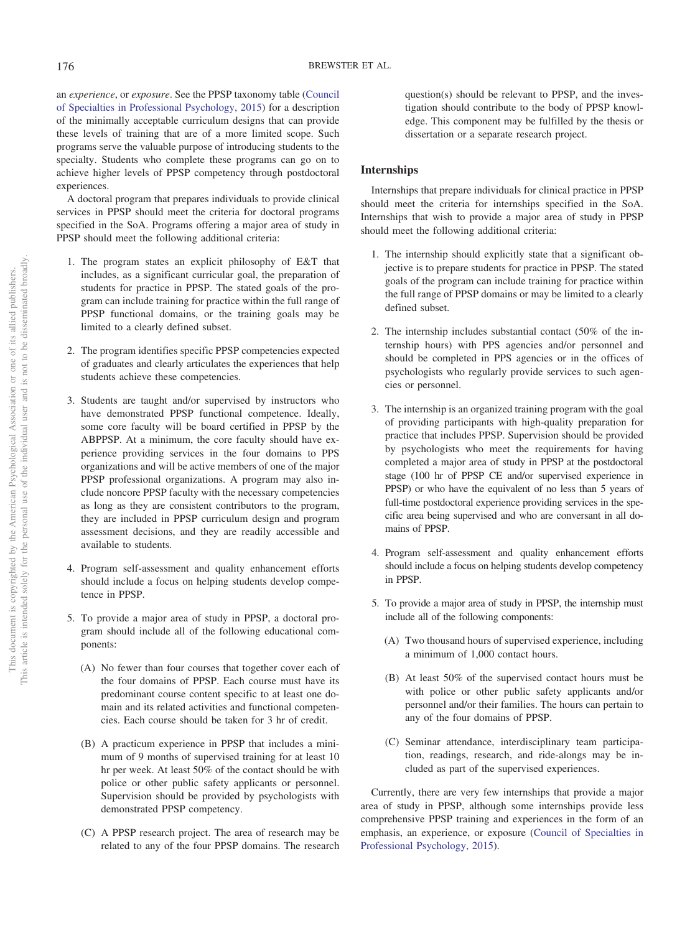an *experience*, or *exposure*. See the PPSP taxonomy table [\(Council](#page-7-15) [of Specialties in Professional Psychology, 2015\)](#page-7-15) for a description of the minimally acceptable curriculum designs that can provide these levels of training that are of a more limited scope. Such programs serve the valuable purpose of introducing students to the specialty. Students who complete these programs can go on to achieve higher levels of PPSP competency through postdoctoral experiences.

A doctoral program that prepares individuals to provide clinical services in PPSP should meet the criteria for doctoral programs specified in the SoA. Programs offering a major area of study in PPSP should meet the following additional criteria:

- 1. The program states an explicit philosophy of E&T that includes, as a significant curricular goal, the preparation of students for practice in PPSP. The stated goals of the program can include training for practice within the full range of PPSP functional domains, or the training goals may be limited to a clearly defined subset.
- 2. The program identifies specific PPSP competencies expected of graduates and clearly articulates the experiences that help students achieve these competencies.
- 3. Students are taught and/or supervised by instructors who have demonstrated PPSP functional competence. Ideally, some core faculty will be board certified in PPSP by the ABPPSP. At a minimum, the core faculty should have experience providing services in the four domains to PPS organizations and will be active members of one of the major PPSP professional organizations. A program may also include noncore PPSP faculty with the necessary competencies as long as they are consistent contributors to the program, they are included in PPSP curriculum design and program assessment decisions, and they are readily accessible and available to students.
- 4. Program self-assessment and quality enhancement efforts should include a focus on helping students develop competence in PPSP.
- 5. To provide a major area of study in PPSP, a doctoral program should include all of the following educational components:
	- (A) No fewer than four courses that together cover each of the four domains of PPSP. Each course must have its predominant course content specific to at least one domain and its related activities and functional competencies. Each course should be taken for 3 hr of credit.
	- (B) A practicum experience in PPSP that includes a minimum of 9 months of supervised training for at least 10 hr per week. At least 50% of the contact should be with police or other public safety applicants or personnel. Supervision should be provided by psychologists with demonstrated PPSP competency.
	- (C) A PPSP research project. The area of research may be related to any of the four PPSP domains. The research

question(s) should be relevant to PPSP, and the investigation should contribute to the body of PPSP knowledge. This component may be fulfilled by the thesis or dissertation or a separate research project.

## **Internships**

Internships that prepare individuals for clinical practice in PPSP should meet the criteria for internships specified in the SoA. Internships that wish to provide a major area of study in PPSP should meet the following additional criteria:

- 1. The internship should explicitly state that a significant objective is to prepare students for practice in PPSP. The stated goals of the program can include training for practice within the full range of PPSP domains or may be limited to a clearly defined subset.
- 2. The internship includes substantial contact (50% of the internship hours) with PPS agencies and/or personnel and should be completed in PPS agencies or in the offices of psychologists who regularly provide services to such agencies or personnel.
- 3. The internship is an organized training program with the goal of providing participants with high-quality preparation for practice that includes PPSP. Supervision should be provided by psychologists who meet the requirements for having completed a major area of study in PPSP at the postdoctoral stage (100 hr of PPSP CE and/or supervised experience in PPSP) or who have the equivalent of no less than 5 years of full-time postdoctoral experience providing services in the specific area being supervised and who are conversant in all domains of PPSP.
- 4. Program self-assessment and quality enhancement efforts should include a focus on helping students develop competency in PPSP.
- 5. To provide a major area of study in PPSP, the internship must include all of the following components:
	- (A) Two thousand hours of supervised experience, including a minimum of 1,000 contact hours.
	- (B) At least 50% of the supervised contact hours must be with police or other public safety applicants and/or personnel and/or their families. The hours can pertain to any of the four domains of PPSP.
	- (C) Seminar attendance, interdisciplinary team participation, readings, research, and ride-alongs may be included as part of the supervised experiences.

Currently, there are very few internships that provide a major area of study in PPSP, although some internships provide less comprehensive PPSP training and experiences in the form of an emphasis, an experience, or exposure [\(Council of Specialties in](#page-7-15) [Professional Psychology, 2015\)](#page-7-15).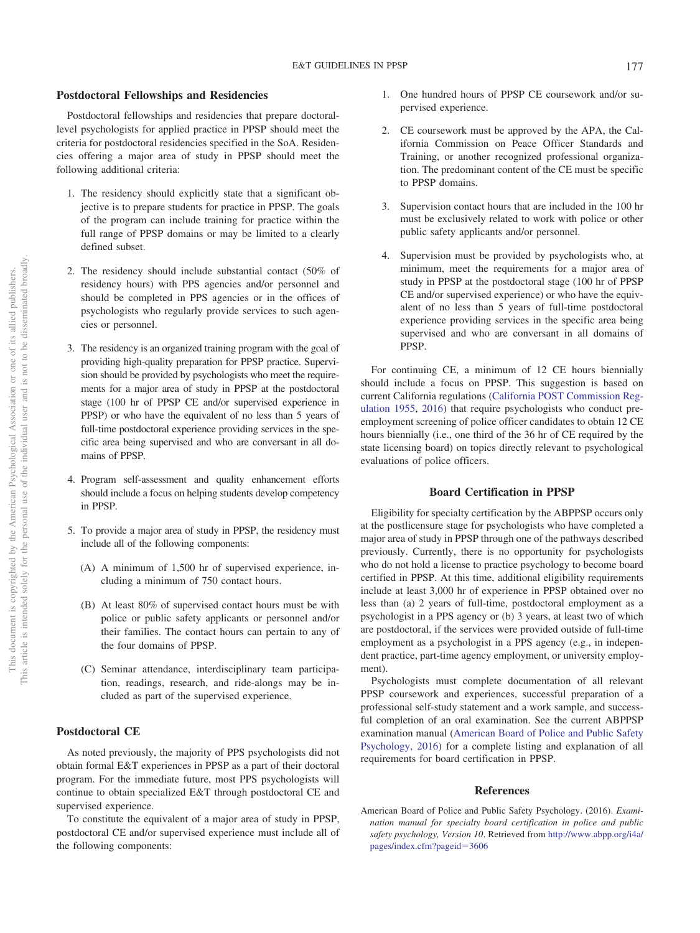#### **Postdoctoral Fellowships and Residencies**

Postdoctoral fellowships and residencies that prepare doctorallevel psychologists for applied practice in PPSP should meet the criteria for postdoctoral residencies specified in the SoA. Residencies offering a major area of study in PPSP should meet the following additional criteria:

- 1. The residency should explicitly state that a significant objective is to prepare students for practice in PPSP. The goals of the program can include training for practice within the full range of PPSP domains or may be limited to a clearly defined subset.
- 2. The residency should include substantial contact (50% of residency hours) with PPS agencies and/or personnel and should be completed in PPS agencies or in the offices of psychologists who regularly provide services to such agencies or personnel.
- 3. The residency is an organized training program with the goal of providing high-quality preparation for PPSP practice. Supervision should be provided by psychologists who meet the requirements for a major area of study in PPSP at the postdoctoral stage (100 hr of PPSP CE and/or supervised experience in PPSP) or who have the equivalent of no less than 5 years of full-time postdoctoral experience providing services in the specific area being supervised and who are conversant in all domains of PPSP.
- 4. Program self-assessment and quality enhancement efforts should include a focus on helping students develop competency in PPSP.
- 5. To provide a major area of study in PPSP, the residency must include all of the following components:
	- (A) A minimum of 1,500 hr of supervised experience, including a minimum of 750 contact hours.
	- (B) At least 80% of supervised contact hours must be with police or public safety applicants or personnel and/or their families. The contact hours can pertain to any of the four domains of PPSP.
	- (C) Seminar attendance, interdisciplinary team participation, readings, research, and ride-alongs may be included as part of the supervised experience.

# **Postdoctoral CE**

As noted previously, the majority of PPS psychologists did not obtain formal E&T experiences in PPSP as a part of their doctoral program. For the immediate future, most PPS psychologists will continue to obtain specialized E&T through postdoctoral CE and supervised experience.

To constitute the equivalent of a major area of study in PPSP, postdoctoral CE and/or supervised experience must include all of the following components:

- 1. One hundred hours of PPSP CE coursework and/or supervised experience.
- 2. CE coursework must be approved by the APA, the California Commission on Peace Officer Standards and Training, or another recognized professional organization. The predominant content of the CE must be specific to PPSP domains.
- 3. Supervision contact hours that are included in the 100 hr must be exclusively related to work with police or other public safety applicants and/or personnel.
- 4. Supervision must be provided by psychologists who, at minimum, meet the requirements for a major area of study in PPSP at the postdoctoral stage (100 hr of PPSP CE and/or supervised experience) or who have the equivalent of no less than 5 years of full-time postdoctoral experience providing services in the specific area being supervised and who are conversant in all domains of PPSP.

For continuing CE, a minimum of 12 CE hours biennially should include a focus on PPSP. This suggestion is based on current California regulations [\(California POST Commission Reg](#page-7-16)[ulation 1955,](#page-7-16) [2016\)](#page-7-16) that require psychologists who conduct preemployment screening of police officer candidates to obtain 12 CE hours biennially (i.e., one third of the 36 hr of CE required by the state licensing board) on topics directly relevant to psychological evaluations of police officers.

## **Board Certification in PPSP**

Eligibility for specialty certification by the ABPPSP occurs only at the postlicensure stage for psychologists who have completed a major area of study in PPSP through one of the pathways described previously. Currently, there is no opportunity for psychologists who do not hold a license to practice psychology to become board certified in PPSP. At this time, additional eligibility requirements include at least 3,000 hr of experience in PPSP obtained over no less than (a) 2 years of full-time, postdoctoral employment as a psychologist in a PPS agency or (b) 3 years, at least two of which are postdoctoral, if the services were provided outside of full-time employment as a psychologist in a PPS agency (e.g., in independent practice, part-time agency employment, or university employment).

Psychologists must complete documentation of all relevant PPSP coursework and experiences, successful preparation of a professional self-study statement and a work sample, and successful completion of an oral examination. See the current ABPPSP examination manual [\(American Board of Police and Public Safety](#page-6-0) [Psychology, 2016\)](#page-6-0) for a complete listing and explanation of all requirements for board certification in PPSP.

## **References**

<span id="page-6-0"></span>American Board of Police and Public Safety Psychology. (2016). *Examination manual for specialty board certification in police and public safety psychology, Version 10*. Retrieved from [http://www.abpp.org/i4a/](http://www.abpp.org/i4a/pages/index.cfm?pageid=3606) [pages/index.cfm?pageid](http://www.abpp.org/i4a/pages/index.cfm?pageid=3606)-3606